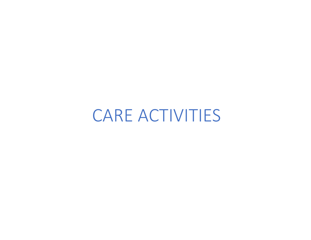CARE ACTIVITIES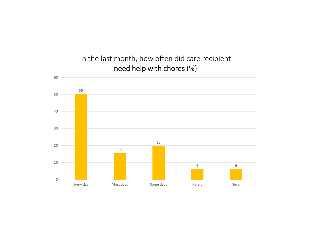

In the last month, how often did care recipient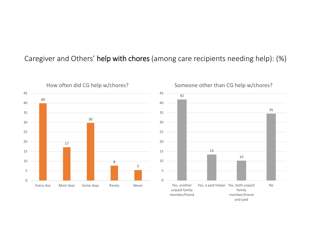#### Caregiver and Others' help with chores (among care recipients needing help): (%)

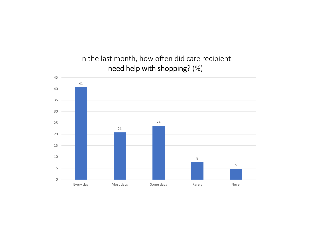In the last month, how often did care recipient need help with shopping? (%)

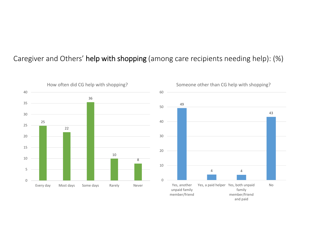#### Caregiver and Others' help with shopping (among care recipients needing help): (%)



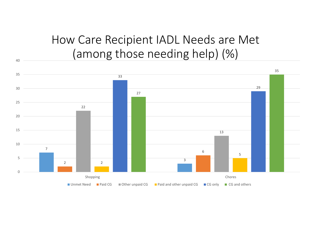# How Care Recipient IADL Needs are Met (among those needing help) (%)

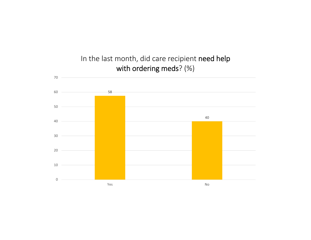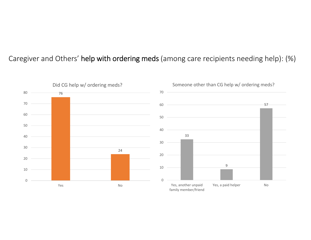#### Caregiver and Others' help with ordering meds (among care recipients needing help): (%)

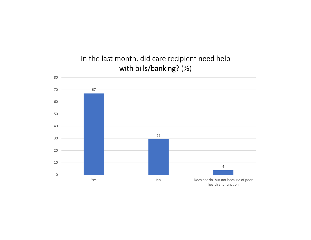

### In the last month, did care recipient need help with bills/banking? (%)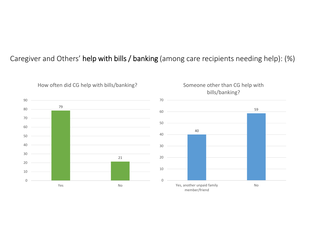#### Caregiver and Others' help with bills / banking (among care recipients needing help): (%)



How often did CG help with bills/banking?



No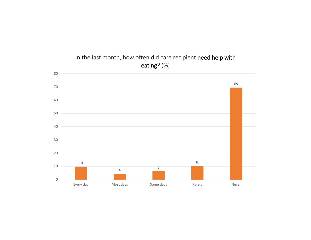

In the last month, how often did care recipient need help with eating? (%)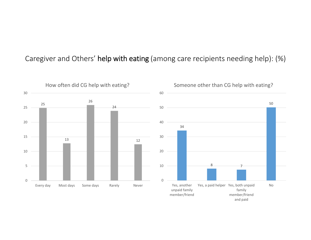#### Caregiver and Others' help with eating (among care recipients needing help): (%)

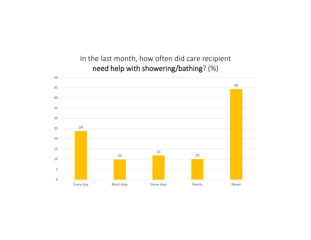#### In the last month, how often did care recipient need help with showering/bathing? (%)

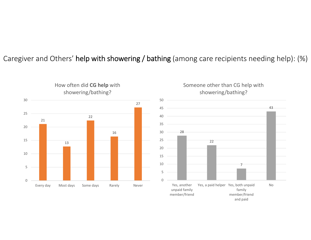#### Caregiver and Others' help with showering / bathing (among care recipients needing help): (%)





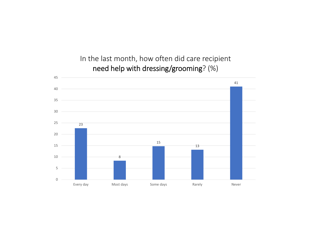### In the last month, how often did care recipient need help with dressing/grooming? (%)

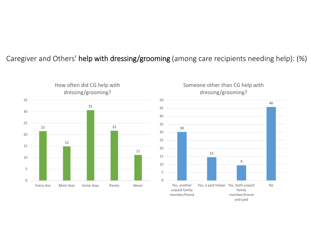#### Caregiver and Others' help with dressing/grooming (among care recipients needing help): (%)



### Someone other than CG help with dressing/grooming?

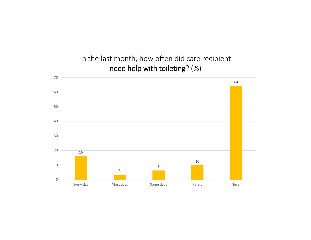#### In the last month, how often did care recipient need help with toileting? (%)

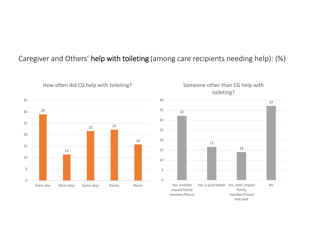#### Caregiver and Others' help with toileting (among care recipients needing help): (%)





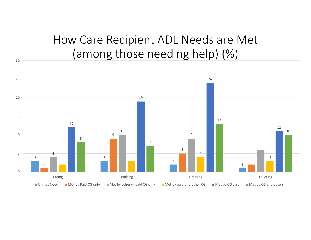## How Care Recipient ADL Needs are Met (among those needing help) (%)

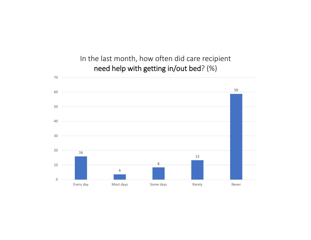#### In the last month, how often did care recipient need help with getting in/out bed? (%)

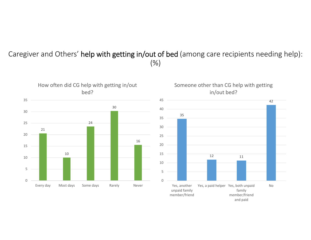#### Caregiver and Others' help with getting in/out of bed (among care recipients needing help): (%)



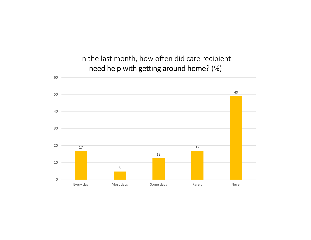In the last month, how often did care recipient need help with getting around home? (%)

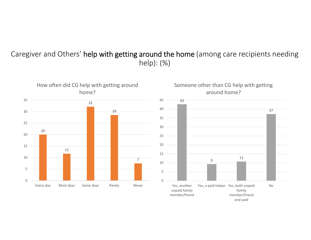#### Caregiver and Others' help with getting around the home (among care recipients needing help): (%)

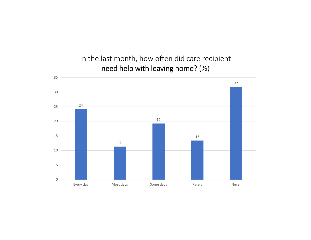In the last month, how often did care recipient need help with leaving home? (%)

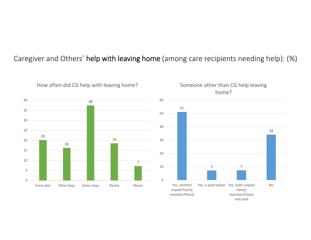#### Caregiver and Others' help with leaving home (among care recipients needing help): (%)





How often did CG help with leaving home?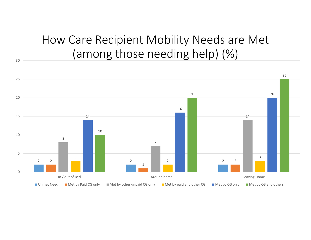# How Care Recipient Mobility Needs are Met (among those needing help) (%)

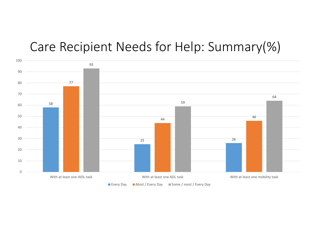## Care Recipient Needs for Help: Summary(%)

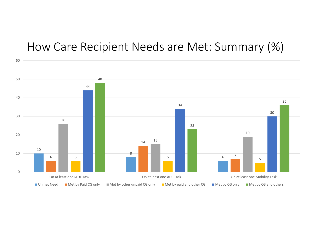### How Care Recipient Needs are Met: Summary (%)

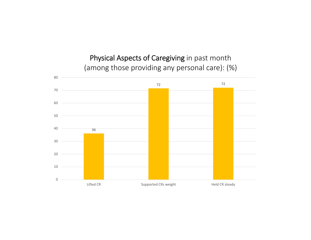Physical Aspects of Caregiving in past month (among those providing any personal care): (%)

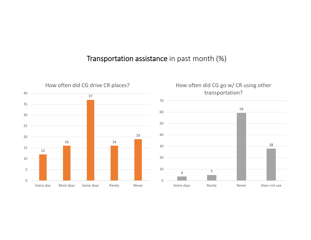#### Transportation assistance in past month (%)

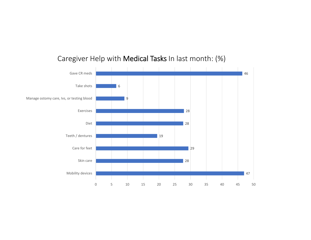

#### Caregiver Help with Medical Tasks In last month: (%)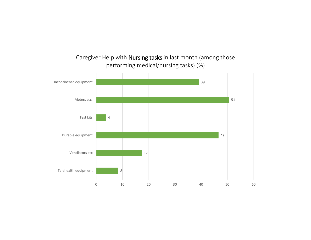

#### Caregiver Help with Nursing tasks in last month (among those performing medical/nursing tasks) (%)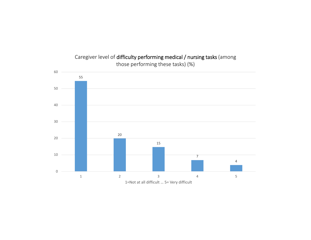

Caregiver level of difficulty performing medical / nursing tasks (among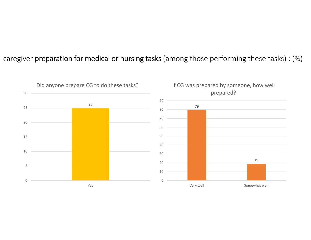#### caregiver preparation for medical or nursing tasks (among those performing these tasks) : (%)

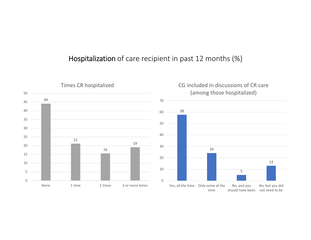#### Hospitalization of care recipient in past 12 months (%)



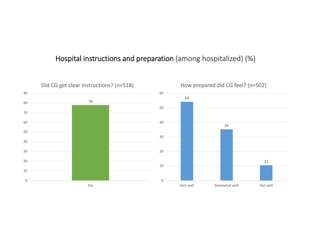#### Hospital instructions and preparation (among hospitalized) (%)

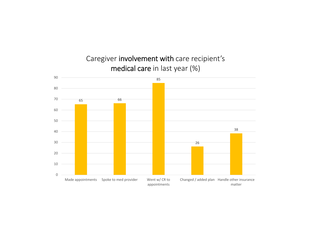

Caregiver involvement with care recipient's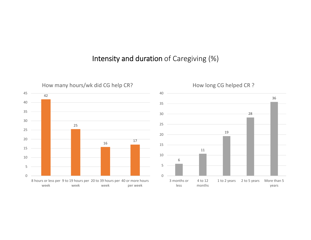#### Intensity and duration of Caregiving (%)



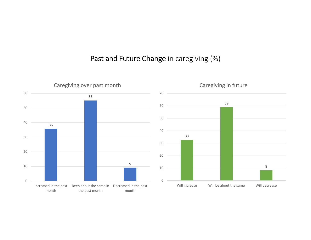#### Past and Future Change in caregiving (%)

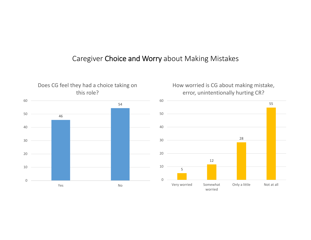#### Caregiver Choice and Worry about Making Mistakes



Does CG feel they had a choice taking on



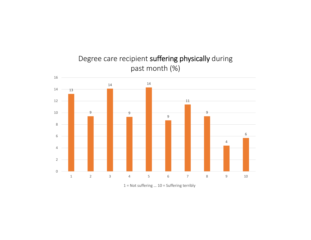

Degree care recipient suffering physically during

![](_page_40_Figure_2.jpeg)